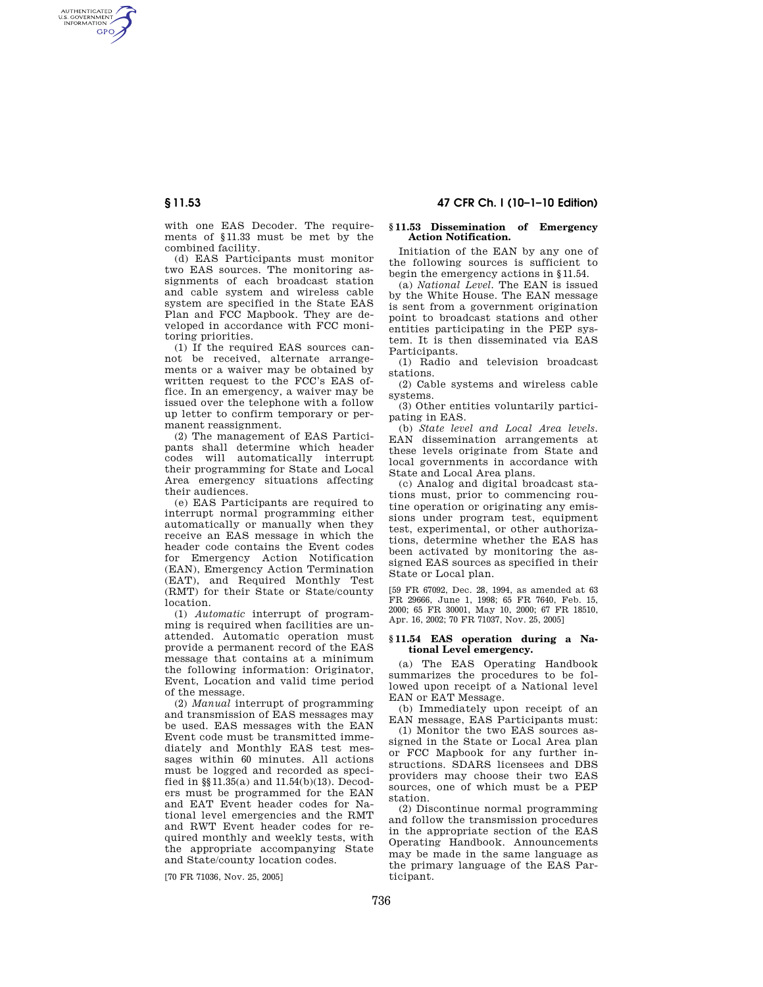AUTHENTICATED<br>U.S. GOVERNMENT<br>INFORMATION **GPO** 

**§ 11.53 47 CFR Ch. I (10–1–10 Edition)** 

with one EAS Decoder. The requirements of §11.33 must be met by the combined facility.

(d) EAS Participants must monitor two EAS sources. The monitoring assignments of each broadcast station and cable system and wireless cable system are specified in the State EAS Plan and FCC Mapbook. They are developed in accordance with FCC monitoring priorities.

(1) If the required EAS sources cannot be received, alternate arrangements or a waiver may be obtained by written request to the FCC's EAS office. In an emergency, a waiver may be issued over the telephone with a follow up letter to confirm temporary or permanent reassignment.

(2) The management of EAS Participants shall determine which header codes will automatically interrupt their programming for State and Local Area emergency situations affecting their audiences.

(e) EAS Participants are required to interrupt normal programming either automatically or manually when they receive an EAS message in which the header code contains the Event codes for Emergency Action Notification (EAN), Emergency Action Termination (EAT), and Required Monthly Test (RMT) for their State or State/county location.

(1) *Automatic* interrupt of programming is required when facilities are unattended. Automatic operation must provide a permanent record of the EAS message that contains at a minimum the following information: Originator, Event, Location and valid time period of the message.

(2) *Manual* interrupt of programming and transmission of EAS messages may be used. EAS messages with the EAN Event code must be transmitted immediately and Monthly EAS test messages within 60 minutes. All actions must be logged and recorded as specified in §§11.35(a) and 11.54(b)(13). Decoders must be programmed for the EAN and EAT Event header codes for National level emergencies and the RMT and RWT Event header codes for required monthly and weekly tests, with the appropriate accompanying State and State/county location codes.

[70 FR 71036, Nov. 25, 2005]

### **§ 11.53 Dissemination of Emergency Action Notification.**

Initiation of the EAN by any one of the following sources is sufficient to begin the emergency actions in §11.54.

(a) *National Level.* The EAN is issued by the White House. The EAN message is sent from a government origination point to broadcast stations and other entities participating in the PEP system. It is then disseminated via EAS Participants.

(1) Radio and television broadcast stations.

(2) Cable systems and wireless cable systems.

(3) Other entities voluntarily participating in EAS.

(b) *State level and Local Area levels.*  EAN dissemination arrangements at these levels originate from State and local governments in accordance with State and Local Area plans.

(c) Analog and digital broadcast stations must, prior to commencing routine operation or originating any emissions under program test, equipment test, experimental, or other authorizations, determine whether the EAS has been activated by monitoring the assigned EAS sources as specified in their State or Local plan.

[59 FR 67092, Dec. 28, 1994, as amended at 63 FR 29666, June 1, 1998; 65 FR 7640, Feb. 15, 2000; 65 FR 30001, May 10, 2000; 67 FR 18510, Apr. 16, 2002; 70 FR 71037, Nov. 25, 2005]

## **§ 11.54 EAS operation during a National Level emergency.**

(a) The EAS Operating Handbook summarizes the procedures to be followed upon receipt of a National level EAN or EAT Message.

(b) Immediately upon receipt of an EAN message, EAS Participants must:

(1) Monitor the two EAS sources assigned in the State or Local Area plan or FCC Mapbook for any further instructions. SDARS licensees and DBS providers may choose their two EAS sources, one of which must be a PEP station.

(2) Discontinue normal programming and follow the transmission procedures in the appropriate section of the EAS Operating Handbook. Announcements may be made in the same language as the primary language of the EAS Participant.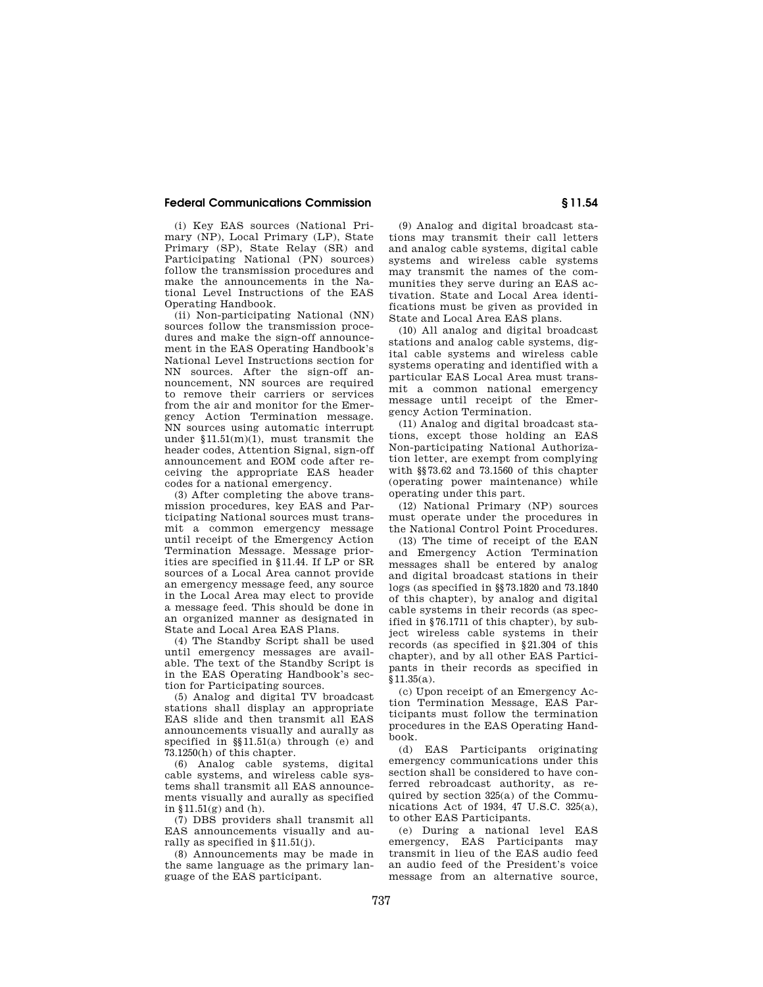## **Federal Communications Commission § 11.54**

(i) Key EAS sources (National Primary (NP), Local Primary (LP), State Primary (SP), State Relay (SR) and Participating National (PN) sources) follow the transmission procedures and make the announcements in the National Level Instructions of the EAS Operating Handbook.

(ii) Non-participating National (NN) sources follow the transmission procedures and make the sign-off announcement in the EAS Operating Handbook's National Level Instructions section for NN sources. After the sign-off announcement. NN sources are required to remove their carriers or services from the air and monitor for the Emergency Action Termination message. NN sources using automatic interrupt under  $$11.51(m)(1)$ , must transmit the header codes, Attention Signal, sign-off announcement and EOM code after receiving the appropriate EAS header codes for a national emergency.

(3) After completing the above transmission procedures, key EAS and Participating National sources must transmit a common emergency message until receipt of the Emergency Action Termination Message. Message priorities are specified in §11.44. If LP or SR sources of a Local Area cannot provide an emergency message feed, any source in the Local Area may elect to provide a message feed. This should be done in an organized manner as designated in State and Local Area EAS Plans.

(4) The Standby Script shall be used until emergency messages are available. The text of the Standby Script is in the EAS Operating Handbook's section for Participating sources.

(5) Analog and digital TV broadcast stations shall display an appropriate EAS slide and then transmit all EAS announcements visually and aurally as specified in §§11.51(a) through (e) and 73.1250(h) of this chapter.

(6) Analog cable systems, digital cable systems, and wireless cable systems shall transmit all EAS announcements visually and aurally as specified in  $$11.51(g)$  and (h).

(7) DBS providers shall transmit all EAS announcements visually and aurally as specified in §11.51(j).

(8) Announcements may be made in the same language as the primary language of the EAS participant.

(9) Analog and digital broadcast stations may transmit their call letters and analog cable systems, digital cable systems and wireless cable systems may transmit the names of the communities they serve during an EAS activation. State and Local Area identifications must be given as provided in State and Local Area EAS plans.

(10) All analog and digital broadcast stations and analog cable systems, digital cable systems and wireless cable systems operating and identified with a particular EAS Local Area must transmit a common national emergency message until receipt of the Emergency Action Termination.

(11) Analog and digital broadcast stations, except those holding an EAS Non-participating National Authorization letter, are exempt from complying with §§73.62 and 73.1560 of this chapter (operating power maintenance) while operating under this part.

(12) National Primary (NP) sources must operate under the procedures in the National Control Point Procedures.

(13) The time of receipt of the EAN and Emergency Action Termination messages shall be entered by analog and digital broadcast stations in their logs (as specified in §§73.1820 and 73.1840 of this chapter), by analog and digital cable systems in their records (as specified in §76.1711 of this chapter), by subject wireless cable systems in their records (as specified in §21.304 of this chapter), and by all other EAS Participants in their records as specified in §11.35(a).

(c) Upon receipt of an Emergency Action Termination Message, EAS Participants must follow the termination procedures in the EAS Operating Handbook.

(d) EAS Participants originating emergency communications under this section shall be considered to have conferred rebroadcast authority, as required by section 325(a) of the Communications Act of 1934, 47 U.S.C. 325(a), to other EAS Participants.

(e) During a national level EAS emergency, EAS Participants may transmit in lieu of the EAS audio feed an audio feed of the President's voice message from an alternative source,